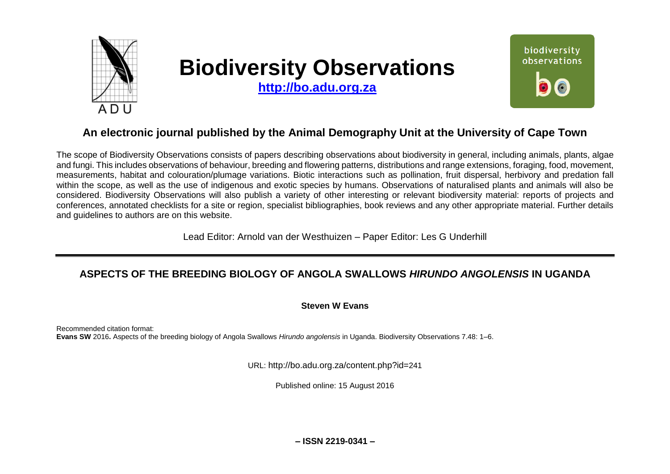

# **Biodiversity Observations**

**[http://bo.adu.org.za](http://bo.adu.org.za/)**



# **An electronic journal published by the Animal Demography Unit at the University of Cape Town**

The scope of Biodiversity Observations consists of papers describing observations about biodiversity in general, including animals, plants, algae and fungi. This includes observations of behaviour, breeding and flowering patterns, distributions and range extensions, foraging, food, movement, measurements, habitat and colouration/plumage variations. Biotic interactions such as pollination, fruit dispersal, herbivory and predation fall within the scope, as well as the use of indigenous and exotic species by humans. Observations of naturalised plants and animals will also be considered. Biodiversity Observations will also publish a variety of other interesting or relevant biodiversity material: reports of projects and conferences, annotated checklists for a site or region, specialist bibliographies, book reviews and any other appropriate material. Further details and guidelines to authors are on this website.

Lead Editor: Arnold van der Westhuizen – Paper Editor: Les G Underhill

# **ASPECTS OF THE BREEDING BIOLOGY OF ANGOLA SWALLOWS** *HIRUNDO ANGOLENSIS* **IN UGANDA**

# **Steven W Evans**

Recommended citation format: **Evans SW** 2016**.** Aspects of the breeding biology of Angola Swallows *Hirundo angolensis* in Uganda. Biodiversity Observations 7.48: 1–6.

URL: http://bo.adu.org.za/content.php?id=241

Published online: 15 August 2016

**– ISSN 2219-0341 –**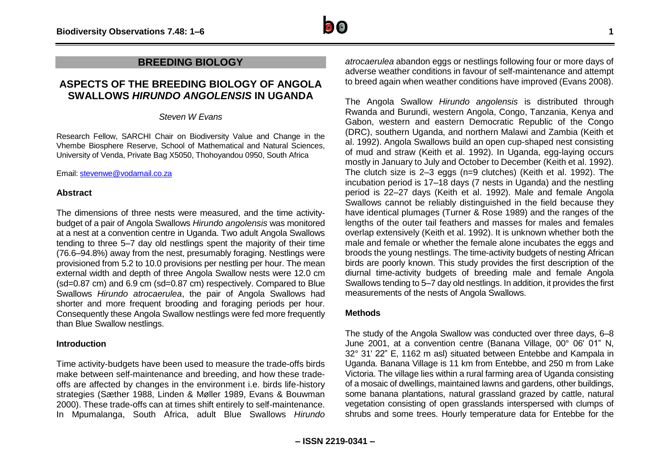

# **ASPECTS OF THE BREEDING BIOLOGY OF ANGOLA SWALLOWS** *HIRUNDO ANGOLENSIS* **IN UGANDA**

### *Steven W Evans*

Research Fellow, SARCHI Chair on Biodiversity Value and Change in the Vhembe Biosphere Reserve, School of Mathematical and Natural Sciences, University of Venda, Private Bag X5050, Thohoyandou 0950, South Africa

Email[: stevenwe@vodamail.co.za](mailto:stevenwe@vodamail.co.za)

## **Abstract**

The dimensions of three nests were measured, and the time activitybudget of a pair of Angola Swallows *Hirundo angolensis* was monitored at a nest at a convention centre in Uganda. Two adult Angola Swallows tending to three 5–7 day old nestlings spent the majority of their time (76.6–94.8%) away from the nest, presumably foraging. Nestlings were provisioned from 5.2 to 10.0 provisions per nestling per hour. The mean external width and depth of three Angola Swallow nests were 12.0 cm (sd=0.87 cm) and 6.9 cm (sd=0.87 cm) respectively. Compared to Blue Swallows *Hirundo atrocaerulea*, the pair of Angola Swallows had shorter and more frequent brooding and foraging periods per hour. Consequently these Angola Swallow nestlings were fed more frequently than Blue Swallow nestlings.

# **Introduction**

Time activity-budgets have been used to measure the trade-offs birds make between self-maintenance and breeding, and how these tradeoffs are affected by changes in the environment i.e. birds life-history strategies (Sæther 1988, Linden & Møller 1989, Evans & Bouwman 2000). These trade-offs can at times shift entirely to self-maintenance. In Mpumalanga, South Africa, adult Blue Swallows *Hirundo* 

*atrocaerulea* abandon eggs or nestlings following four or more days of adverse weather conditions in favour of self-maintenance and attempt to breed again when weather conditions have improved (Evans 2008).

The Angola Swallow *Hirundo angolensis* is distributed through Rwanda and Burundi, western Angola, Congo, Tanzania, Kenya and Gabon, western and eastern Democratic Republic of the Congo (DRC), southern Uganda, and northern Malawi and Zambia (Keith et al. 1992). Angola Swallows build an open cup-shaped nest consisting of mud and straw (Keith et al. 1992). In Uganda, egg-laying occurs mostly in January to July and October to December (Keith et al. 1992). The clutch size is 2–3 eggs (n=9 clutches) (Keith et al. 1992). The incubation period is 17–18 days (7 nests in Uganda) and the nestling period is 22–27 days (Keith et al. 1992). Male and female Angola Swallows cannot be reliably distinguished in the field because they have identical plumages (Turner & Rose 1989) and the ranges of the lengths of the outer tail feathers and masses for males and females overlap extensively (Keith et al. 1992). It is unknown whether both the male and female or whether the female alone incubates the eggs and broods the young nestlings. The time-activity budgets of nesting African birds are poorly known. This study provides the first description of the diurnal time-activity budgets of breeding male and female Angola Swallows tending to 5–7 day old nestlings. In addition, it provides the first measurements of the nests of Angola Swallows.

# **Methods**

The study of the Angola Swallow was conducted over three days, 6–8 June 2001, at a convention centre (Banana Village, 00° 06' 01" N, 32° 31' 22" E, 1162 m asl) situated between Entebbe and Kampala in Uganda. Banana Village is 11 km from Entebbe, and 250 m from Lake Victoria. The village lies within a rural farming area of Uganda consisting of a mosaic of dwellings, maintained lawns and gardens, other buildings, some banana plantations, natural grassland grazed by cattle, natural vegetation consisting of open grasslands interspersed with clumps of shrubs and some trees. Hourly temperature data for Entebbe for the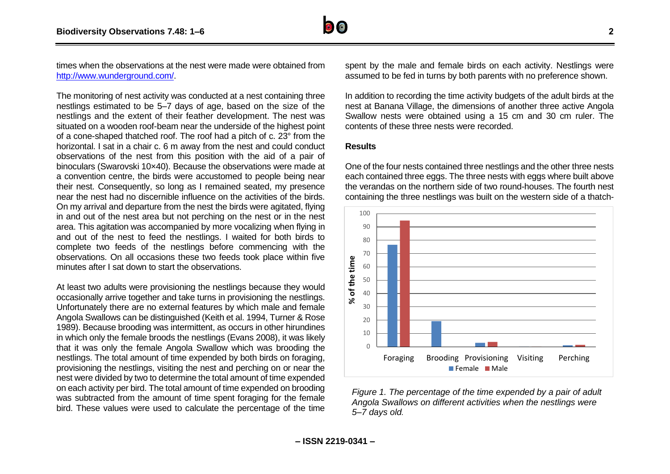

times when the observations at the nest were made were obtained from [http://www.wunderground.com/.](http://www.wunderground.com/)

The monitoring of nest activity was conducted at a nest containing three nestlings estimated to be 5–7 days of age, based on the size of the nestlings and the extent of their feather development. The nest was situated on a wooden roof-beam near the underside of the highest point of a cone-shaped thatched roof. The roof had a pitch of c. 23° from the horizontal. I sat in a chair c. 6 m away from the nest and could conduct observations of the nest from this position with the aid of a pair of binoculars (Swarovski 10×40). Because the observations were made at a convention centre, the birds were accustomed to people being near their nest. Consequently, so long as I remained seated, my presence near the nest had no discernible influence on the activities of the birds. On my arrival and departure from the nest the birds were agitated, flying in and out of the nest area but not perching on the nest or in the nest area. This agitation was accompanied by more vocalizing when flying in and out of the nest to feed the nestlings. I waited for both birds to complete two feeds of the nestlings before commencing with the observations. On all occasions these two feeds took place within five minutes after I sat down to start the observations.

At least two adults were provisioning the nestlings because they would occasionally arrive together and take turns in provisioning the nestlings. Unfortunately there are no external features by which male and female Angola Swallows can be distinguished (Keith et al. 1994, Turner & Rose 1989). Because brooding was intermittent, as occurs in other hirundines in which only the female broods the nestlings (Evans 2008), it was likely that it was only the female Angola Swallow which was brooding the nestlings. The total amount of time expended by both birds on foraging, provisioning the nestlings, visiting the nest and perching on or near the nest were divided by two to determine the total amount of time expended on each activity per bird. The total amount of time expended on brooding was subtracted from the amount of time spent foraging for the female bird. These values were used to calculate the percentage of the time spent by the male and female birds on each activity. Nestlings were assumed to be fed in turns by both parents with no preference shown.

In addition to recording the time activity budgets of the adult birds at the nest at Banana Village, the dimensions of another three active Angola Swallow nests were obtained using a 15 cm and 30 cm ruler. The contents of these three nests were recorded.

#### **Results**

One of the four nests contained three nestlings and the other three nests each contained three eggs. The three nests with eggs where built above the verandas on the northern side of two round-houses. The fourth nest containing the three nestlings was built on the western side of a thatch-



*Figure 1. The percentage of the time expended by a pair of adult Angola Swallows on different activities when the nestlings were 5–7 days old.*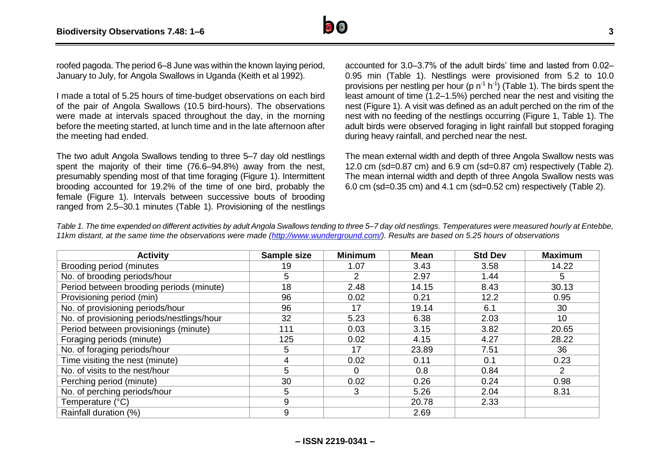

roofed pagoda. The period 6–8 June was within the known laying period, January to July, for Angola Swallows in Uganda (Keith et al 1992).

I made a total of 5.25 hours of time-budget observations on each bird of the pair of Angola Swallows (10.5 bird-hours). The observations were made at intervals spaced throughout the day, in the morning before the meeting started, at lunch time and in the late afternoon after the meeting had ended.

The two adult Angola Swallows tending to three 5–7 day old nestlings spent the majority of their time (76.6–94.8%) away from the nest, presumably spending most of that time foraging (Figure 1). Intermittent brooding accounted for 19.2% of the time of one bird, probably the female (Figure 1). Intervals between successive bouts of brooding ranged from 2.5–30.1 minutes (Table 1). Provisioning of the nestlings

accounted for 3.0–3.7% of the adult birds' time and lasted from 0.02– 0.95 min (Table 1). Nestlings were provisioned from 5.2 to 10.0 provisions per nestling per hour (p  $n<sup>1</sup> h<sup>-1</sup>$ ) (Table 1). The birds spent the least amount of time (1.2–1.5%) perched near the nest and visiting the nest (Figure 1). A visit was defined as an adult perched on the rim of the nest with no feeding of the nestlings occurring (Figure 1, Table 1). The adult birds were observed foraging in light rainfall but stopped foraging during heavy rainfall, and perched near the nest.

The mean external width and depth of three Angola Swallow nests was 12.0 cm (sd=0.87 cm) and 6.9 cm (sd=0.87 cm) respectively (Table 2). The mean internal width and depth of three Angola Swallow nests was 6.0 cm (sd=0.35 cm) and 4.1 cm (sd=0.52 cm) respectively (Table 2).

*Table 1. The time expended on different activities by adult Angola Swallows tending to three 5–7 day old nestlings. Temperatures were measured hourly at Entebbe, 11km distant, at the same time the observations were made [\(http://www.wunderground.com/\)](http://www.wunderground.com/). Results are based on 5.25 hours of observations* 

| <b>Activity</b>                            | Sample size | <b>Minimum</b> | <b>Mean</b> | <b>Std Dev</b> | <b>Maximum</b> |
|--------------------------------------------|-------------|----------------|-------------|----------------|----------------|
| Brooding period (minutes                   | 19          | 1.07           | 3.43        | 3.58           | 14.22          |
| No. of brooding periods/hour               | 5           | $\mathcal{P}$  | 2.97        | 1.44           | 5              |
| Period between brooding periods (minute)   | 18          | 2.48           | 14.15       | 8.43           | 30.13          |
| Provisioning period (min)                  | 96          | 0.02           | 0.21        | 12.2           | 0.95           |
| No. of provisioning periods/hour           | 96          | 17             | 19.14       | 6.1            | 30             |
| No. of provisioning periods/nestlings/hour | 32          | 5.23           | 6.38        | 2.03           | 10             |
| Period between provisionings (minute)      | 111         | 0.03           | 3.15        | 3.82           | 20.65          |
| Foraging periods (minute)                  | 125         | 0.02           | 4.15        | 4.27           | 28.22          |
| No. of foraging periods/hour               | 5           | 17             | 23.89       | 7.51           | 36             |
| Time visiting the nest (minute)            | 4           | 0.02           | 0.11        | 0.1            | 0.23           |
| No. of visits to the nest/hour             | 5           | 0              | 0.8         | 0.84           | 2              |
| Perching period (minute)                   | 30          | 0.02           | 0.26        | 0.24           | 0.98           |
| No. of perching periods/hour               | 5           | 3              | 5.26        | 2.04           | 8.31           |
| Temperature (°C)                           | 9           |                | 20.78       | 2.33           |                |
| Rainfall duration (%)                      | 9           |                | 2.69        |                |                |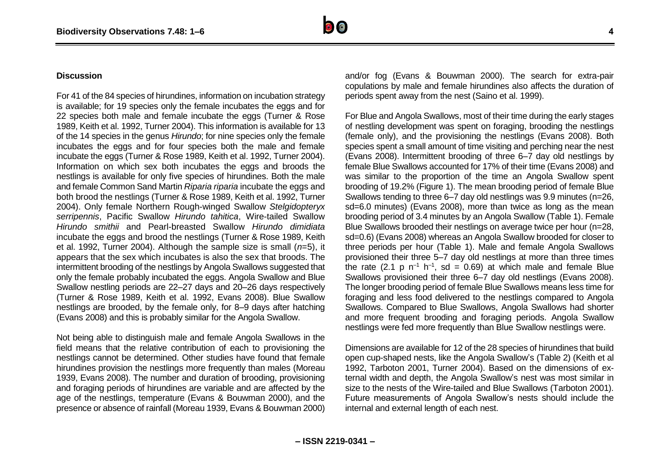#### **Discussion**

For 41 of the 84 species of hirundines, information on incubation strategy is available; for 19 species only the female incubates the eggs and for 22 species both male and female incubate the eggs (Turner & Rose 1989, Keith et al. 1992, Turner 2004). This information is available for 13 of the 14 species in the genus *Hirundo*; for nine species only the female incubates the eggs and for four species both the male and female incubate the eggs (Turner & Rose 1989, Keith et al. 1992, Turner 2004). Information on which sex both incubates the eggs and broods the nestlings is available for only five species of hirundines. Both the male and female Common Sand Martin *Riparia riparia* incubate the eggs and both brood the nestlings (Turner & Rose 1989, Keith et al. 1992, Turner 2004). Only female Northern Rough-winged Swallow *Stelgidopteryx serripennis*, Pacific Swallow *Hirundo tahitica*, Wire-tailed Swallow *Hirundo smithii* and Pearl-breasted Swallow *Hirundo dimidiata* incubate the eggs and brood the nestlings (Turner & Rose 1989, Keith et al. 1992, Turner 2004). Although the sample size is small (*n*=5), it appears that the sex which incubates is also the sex that broods. The intermittent brooding of the nestlings by Angola Swallows suggested that only the female probably incubated the eggs. Angola Swallow and Blue Swallow nestling periods are 22–27 days and 20–26 days respectively (Turner & Rose 1989, Keith et al. 1992, Evans 2008). Blue Swallow nestlings are brooded, by the female only, for 8–9 days after hatching (Evans 2008) and this is probably similar for the Angola Swallow.

Not being able to distinguish male and female Angola Swallows in the field means that the relative contribution of each to provisioning the nestlings cannot be determined. Other studies have found that female hirundines provision the nestlings more frequently than males (Moreau 1939, Evans 2008). The number and duration of brooding, provisioning and foraging periods of hirundines are variable and are affected by the age of the nestlings, temperature (Evans & Bouwman 2000), and the presence or absence of rainfall (Moreau 1939, Evans & Bouwman 2000) and/or fog (Evans & Bouwman 2000). The search for extra-pair copulations by male and female hirundines also affects the duration of periods spent away from the nest (Saino et al. 1999).

For Blue and Angola Swallows, most of their time during the early stages of nestling development was spent on foraging, brooding the nestlings (female only), and the provisioning the nestlings (Evans 2008). Both species spent a small amount of time visiting and perching near the nest (Evans 2008). Intermittent brooding of three 6–7 day old nestlings by female Blue Swallows accounted for 17% of their time (Evans 2008) and was similar to the proportion of the time an Angola Swallow spent brooding of 19.2% (Figure 1). The mean brooding period of female Blue Swallows tending to three 6–7 day old nestlings was 9.9 minutes (n=26, sd=6.0 minutes) (Evans 2008), more than twice as long as the mean brooding period of 3.4 minutes by an Angola Swallow (Table 1). Female Blue Swallows brooded their nestlings on average twice per hour (n=28, sd=0.6) (Evans 2008) whereas an Angola Swallow brooded for closer to three periods per hour (Table 1). Male and female Angola Swallows provisioned their three 5–7 day old nestlings at more than three times the rate (2.1 p  $n^{-1}$  h<sup>-1</sup>, sd = 0.69) at which male and female Blue Swallows provisioned their three 6–7 day old nestlings (Evans 2008). The longer brooding period of female Blue Swallows means less time for foraging and less food delivered to the nestlings compared to Angola Swallows. Compared to Blue Swallows, Angola Swallows had shorter and more frequent brooding and foraging periods. Angola Swallow nestlings were fed more frequently than Blue Swallow nestlings were.

Dimensions are available for 12 of the 28 species of hirundines that build open cup-shaped nests, like the Angola Swallow's (Table 2) (Keith et al 1992, Tarboton 2001, Turner 2004). Based on the dimensions of external width and depth, the Angola Swallow's nest was most similar in size to the nests of the Wire-tailed and Blue Swallows (Tarboton 2001). Future measurements of Angola Swallow's nests should include the internal and external length of each nest.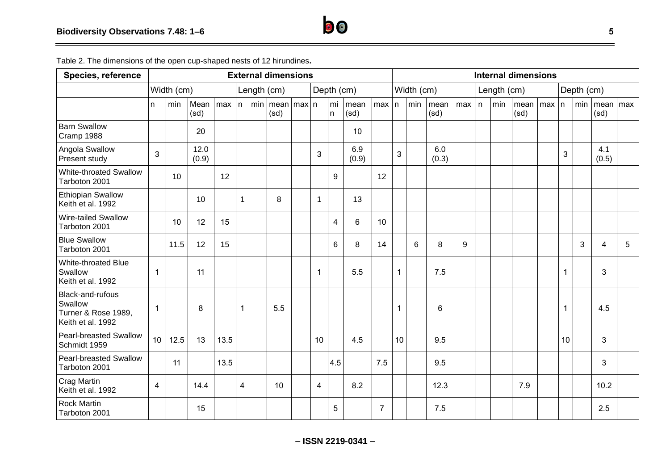| <b>Species, reference</b>                                               | <b>External dimensions</b> |      |               |           |              |  |                             |            |              |                    | <b>Internal dimensions</b> |           |              |             |              |     |   |            |              |           |    |     |                    |   |
|-------------------------------------------------------------------------|----------------------------|------|---------------|-----------|--------------|--|-----------------------------|------------|--------------|--------------------|----------------------------|-----------|--------------|-------------|--------------|-----|---|------------|--------------|-----------|----|-----|--------------------|---|
|                                                                         | Width (cm)                 |      |               |           | Length (cm)  |  |                             | Depth (cm) |              |                    | Width (cm)                 |           |              | Length (cm) |              |     |   | Depth (cm) |              |           |    |     |                    |   |
|                                                                         | n                          | min  | Mean<br>(sd)  | $max$   n |              |  | min  mean   max   n<br>(sd) |            |              | mi<br>$\mathsf{n}$ | mean<br>(sd)               | $max$   n |              | min         | mean<br>(sd) | max | n | min        | mean<br>(sd) | $max$   n |    | min | mean   max<br>(sd) |   |
| <b>Barn Swallow</b><br>Cramp 1988                                       |                            |      | 20            |           |              |  |                             |            |              |                    | 10                         |           |              |             |              |     |   |            |              |           |    |     |                    |   |
| Angola Swallow<br>Present study                                         | 3                          |      | 12.0<br>(0.9) |           |              |  |                             |            | 3            |                    | 6.9<br>(0.9)               |           | 3            |             | 6.0<br>(0.3) |     |   |            |              |           | 3  |     | 4.1<br>(0.5)       |   |
| White-throated Swallow<br>Tarboton 2001                                 |                            | 10   |               | 12        |              |  |                             |            |              | 9                  |                            | 12        |              |             |              |     |   |            |              |           |    |     |                    |   |
| <b>Ethiopian Swallow</b><br>Keith et al. 1992                           |                            |      | 10            |           | $\mathbf{1}$ |  | 8                           |            | $\mathbf{1}$ |                    | 13                         |           |              |             |              |     |   |            |              |           |    |     |                    |   |
| Wire-tailed Swallow<br>Tarboton 2001                                    |                            | 10   | 12            | 15        |              |  |                             |            |              | 4                  | $6\phantom{1}$             | 10        |              |             |              |     |   |            |              |           |    |     |                    |   |
| <b>Blue Swallow</b><br>Tarboton 2001                                    |                            | 11.5 | 12            | 15        |              |  |                             |            |              | 6                  | 8                          | 14        |              | 6           | 8            | 9   |   |            |              |           |    | 3   | 4                  | 5 |
| White-throated Blue<br>Swallow<br>Keith et al. 1992                     | $\mathbf{1}$               |      | 11            |           |              |  |                             |            | 1            |                    | 5.5                        |           | $\mathbf{1}$ |             | 7.5          |     |   |            |              |           | 1  |     | 3                  |   |
| Black-and-rufous<br>Swallow<br>Turner & Rose 1989,<br>Keith et al. 1992 | $\mathbf{1}$               |      | 8             |           | 1            |  | 5.5                         |            |              |                    |                            |           | 1            |             | 6            |     |   |            |              |           | 1  |     | 4.5                |   |
| <b>Pearl-breasted Swallow</b><br>Schmidt 1959                           | 10 <sup>1</sup>            | 12.5 | 13            | 13.5      |              |  |                             |            | 10           |                    | 4.5                        |           | 10           |             | 9.5          |     |   |            |              |           | 10 |     | 3                  |   |
| <b>Pearl-breasted Swallow</b><br>Tarboton 2001                          |                            | 11   |               | 13.5      |              |  |                             |            |              | 4.5                |                            | 7.5       |              |             | 9.5          |     |   |            |              |           |    |     | 3                  |   |
| Crag Martin<br>Keith et al. 1992                                        | 4                          |      | 14.4          |           | 4            |  | 10                          |            | 4            |                    | 8.2                        |           |              |             | 12.3         |     |   |            | 7.9          |           |    |     | 10.2               |   |
| <b>Rock Martin</b><br>Tarboton 2001                                     |                            |      | 15            |           |              |  |                             |            |              | 5                  |                            | 7         |              |             | 7.5          |     |   |            |              |           |    |     | 2.5                |   |

Table 2. The dimensions of the open cup-shaped nests of 12 hirundines**.**